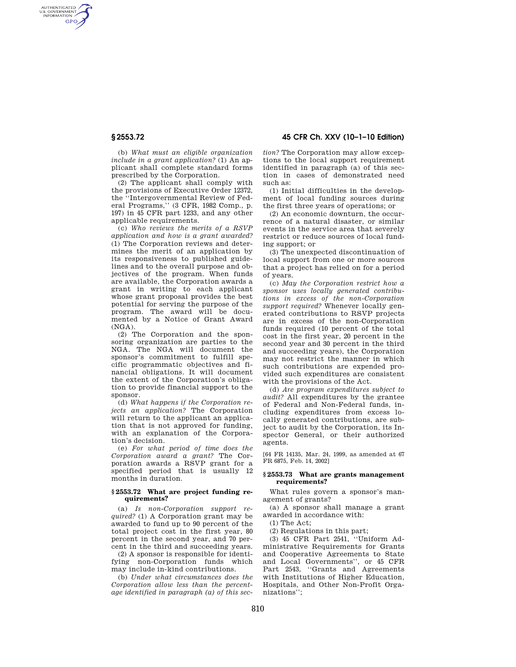AUTHENTICATED<br>U.S. GOVERNMENT<br>INFORMATION **GPO** 

**§ 2553.72 45 CFR Ch. XXV (10–1–10 Edition)** 

(b) *What must an eligible organization include in a grant application?* (1) An applicant shall complete standard forms prescribed by the Corporation.

(2) The applicant shall comply with the provisions of Executive Order 12372, the ''Intergovernmental Review of Federal Programs,'' (3 CFR, 1982 Comp., p. 197) in 45 CFR part 1233, and any other applicable requirements.

(c) *Who reviews the merits of a RSVP application and how is a grant awarded?*  (1) The Corporation reviews and determines the merit of an application by its responsiveness to published guidelines and to the overall purpose and objectives of the program. When funds are available, the Corporation awards a grant in writing to each applicant whose grant proposal provides the best potential for serving the purpose of the program. The award will be documented by a Notice of Grant Award (NGA).

(2) The Corporation and the sponsoring organization are parties to the NGA. The NGA will document the sponsor's commitment to fulfill specific programmatic objectives and financial obligations. It will document the extent of the Corporation's obligation to provide financial support to the sponsor.

(d) *What happens if the Corporation rejects an application?* The Corporation will return to the applicant an application that is not approved for funding, with an explanation of the Corporation's decision.

(e) *For what period of time does the Corporation award a grant?* The Corporation awards a RSVP grant for a specified period that is usually 12 months in duration.

# **§ 2553.72 What are project funding requirements?**

(a) *Is non-Corporation support required?* (1) A Corporation grant may be awarded to fund up to 90 percent of the total project cost in the first year, 80 percent in the second year, and 70 percent in the third and succeeding years.

(2) A sponsor is responsible for identifying non-Corporation funds which may include in-kind contributions.

(b) *Under what circumstances does the Corporation allow less than the percentage identified in paragraph (a) of this sec-* *tion?* The Corporation may allow exceptions to the local support requirement identified in paragraph (a) of this section in cases of demonstrated need such as:

(1) Initial difficulties in the development of local funding sources during the first three years of operations; or

(2) An economic downturn, the occurrence of a natural disaster, or similar events in the service area that severely restrict or reduce sources of local funding support; or

(3) The unexpected discontinuation of local support from one or more sources that a project has relied on for a period of years.

(c) *May the Corporation restrict how a sponsor uses locally generated contributions in excess of the non-Corporation support required?* Whenever locally generated contributions to RSVP projects are in excess of the non-Corporation funds required (10 percent of the total cost in the first year, 20 percent in the second year and 30 percent in the third and succeeding years), the Corporation may not restrict the manner in which such contributions are expended provided such expenditures are consistent with the provisions of the Act.

(d) *Are program expenditures subject to audit?* All expenditures by the grantee of Federal and Non-Federal funds, including expenditures from excess locally generated contributions, are subject to audit by the Corporation, its Inspector General, or their authorized agents.

[64 FR 14135, Mar. 24, 1999, as amended at 67 FR 6875, Feb. 14, 2002]

## **§ 2553.73 What are grants management requirements?**

What rules govern a sponsor's management of grants?

(a) A sponsor shall manage a grant awarded in accordance with:

(1) The Act;

(2) Regulations in this part;

(3) 45 CFR Part 2541, ''Uniform Administrative Requirements for Grants and Cooperative Agreements to State and Local Governments'', or 45 CFR Part 2543, ''Grants and Agreements with Institutions of Higher Education, Hospitals, and Other Non-Profit Organizations'';